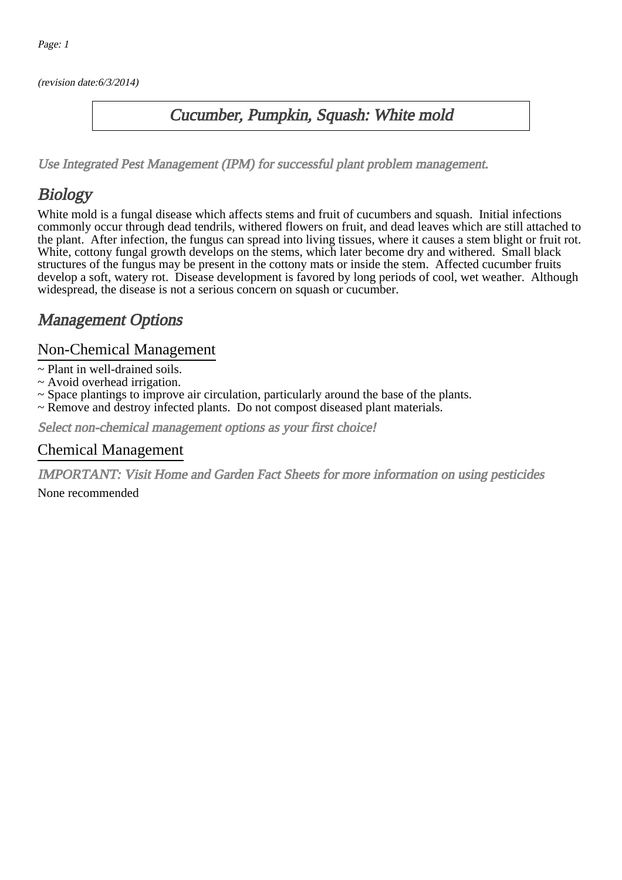(revision date:6/3/2014)

### Cucumber, Pumpkin, Squash: White mold

[Use Integrated Pest Management \(IPM\) for successful plant problem management.](http://pep.wsu.edu/Home_Garden/H_G_Pesticide_info/urban_Integrated_Pest_Managmen/)

## Biology

White mold is a fungal disease which affects stems and fruit of cucumbers and squash. Initial infections commonly occur through dead tendrils, withered flowers on fruit, and dead leaves which are still attached to the plant. After infection, the fungus can spread into living tissues, where it causes a stem blight or fruit rot. White, cottony fungal growth develops on the stems, which later become dry and withered. Small black structures of the fungus may be present in the cottony mats or inside the stem. Affected cucumber fruits develop a soft, watery rot. Disease development is favored by long periods of cool, wet weather. Although widespread, the disease is not a serious concern on squash or cucumber.

## Management Options

#### Non-Chemical Management

- ~ Plant in well-drained soils.
- ~ Avoid overhead irrigation.
- ~ Space plantings to improve air circulation, particularly around the base of the plants.
- ~ Remove and destroy infected plants. Do not compost diseased plant materials.

Select non-chemical management options as your first choice!

#### Chemical Management

IMPORTANT: [Visit Home and Garden Fact Sheets for more information on using pesticides](http://pep.wsu.edu/Home_Garden/H_G_Pesticide_info/)

None recommended